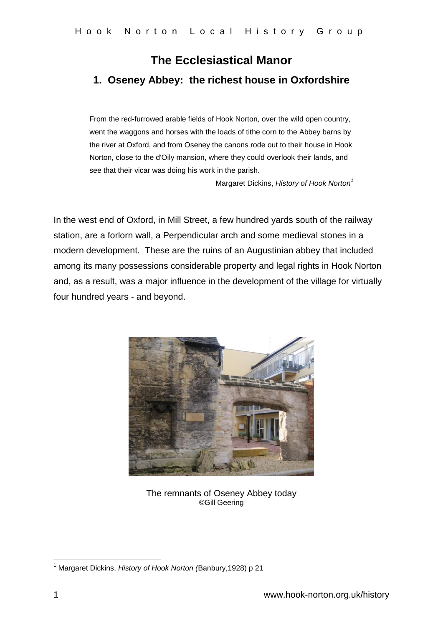## **The Ecclesiastical Manor 1. Oseney Abbey: the richest house in Oxfordshire**

From the red-furrowed arable fields of Hook Norton, over the wild open country, went the waggons and horses with the loads of tithe corn to the Abbey barns by the river at Oxford, and from Oseney the canons rode out to their house in Hook Norton, close to the d'Oily mansion, where they could overlook their lands, and see that their vicar was doing his work in the parish.

Margaret Dickins, *History of Hook Norton<sup>1</sup>*

In the west end of Oxford, in Mill Street, a few hundred yards south of the railway station, are a forlorn wall, a Perpendicular arch and some medieval stones in a modern development. These are the ruins of an Augustinian abbey that included among its many possessions considerable property and legal rights in Hook Norton and, as a result, was a major influence in the development of the village for virtually four hundred years - and beyond.



The remnants of Oseney Abbey today ©Gill Geering

 $\overline{1}$ <sup>1</sup> Margaret Dickins, *History of Hook Norton (*Banbury,1928) p 21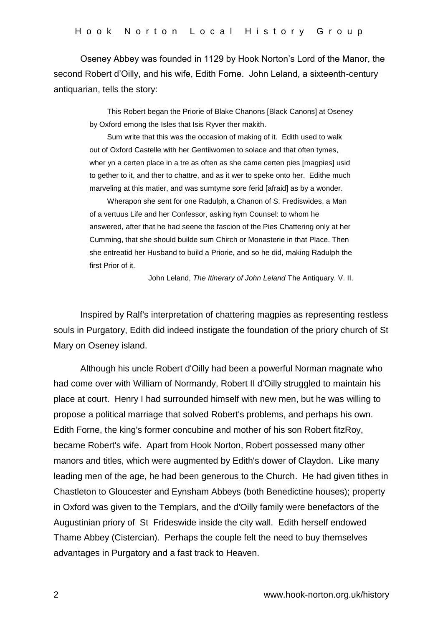Oseney Abbey was founded in 1129 by Hook Norton's Lord of the Manor, the second Robert d'Oilly, and his wife, Edith Forne. John Leland, a sixteenth-century antiquarian, tells the story:

> This Robert began the Priorie of Blake Chanons [Black Canons] at Oseney by Oxford emong the Isles that Isis Ryver ther makith.

> Sum write that this was the occasion of making of it. Edith used to walk out of Oxford Castelle with her Gentilwomen to solace and that often tymes, wher yn a certen place in a tre as often as she came certen pies [magpies] usid to gether to it, and ther to chattre, and as it wer to speke onto her. Edithe much marveling at this matier, and was sumtyme sore ferid [afraid] as by a wonder.

> Wherapon she sent for one Radulph, a Chanon of S. Frediswides, a Man of a vertuus Life and her Confessor, asking hym Counsel: to whom he answered, after that he had seene the fascion of the Pies Chattering only at her Cumming, that she should builde sum Chirch or Monasterie in that Place. Then she entreatid her Husband to build a Priorie, and so he did, making Radulph the first Prior of it.

> > John Leland, *The Itinerary of John Leland* The Antiquary. V. II.

Inspired by Ralf's interpretation of chattering magpies as representing restless souls in Purgatory, Edith did indeed instigate the foundation of the priory church of St Mary on Oseney island.

Although his uncle Robert d'Oilly had been a powerful Norman magnate who had come over with William of Normandy, Robert II d'Oilly struggled to maintain his place at court. Henry I had surrounded himself with new men, but he was willing to propose a political marriage that solved Robert's problems, and perhaps his own. Edith Forne, the king's former concubine and mother of his son Robert fitzRoy, became Robert's wife. Apart from Hook Norton, Robert possessed many other manors and titles, which were augmented by Edith's dower of Claydon. Like many leading men of the age, he had been generous to the Church. He had given tithes in Chastleton to Gloucester and Eynsham Abbeys (both Benedictine houses); property in Oxford was given to the Templars, and the d'Oilly family were benefactors of the Augustinian priory of St Frideswide inside the city wall. Edith herself endowed Thame Abbey (Cistercian). Perhaps the couple felt the need to buy themselves advantages in Purgatory and a fast track to Heaven.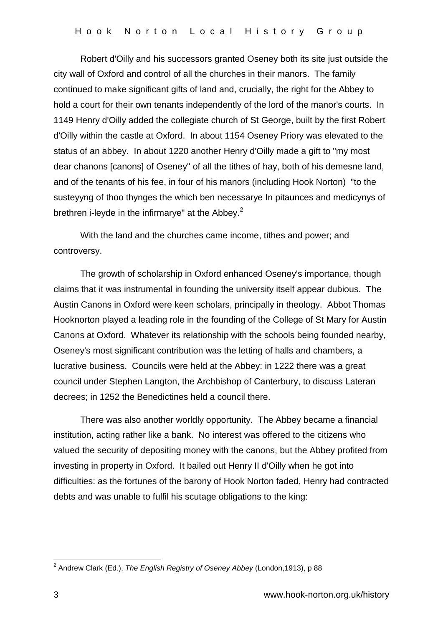Robert d'Oilly and his successors granted Oseney both its site just outside the city wall of Oxford and control of all the churches in their manors. The family continued to make significant gifts of land and, crucially, the right for the Abbey to hold a court for their own tenants independently of the lord of the manor's courts. In 1149 Henry d'Oilly added the collegiate church of St George, built by the first Robert d'Oilly within the castle at Oxford. In about 1154 Oseney Priory was elevated to the status of an abbey. In about 1220 another Henry d'Oilly made a gift to "my most dear chanons [canons] of Oseney" of all the tithes of hay, both of his demesne land, and of the tenants of his fee, in four of his manors (including Hook Norton) "to the susteyyng of thoo thynges the which ben necessarye In pitaunces and medicynys of brethren i-leyde in the infirmarye" at the Abbey. $2$ 

With the land and the churches came income, tithes and power; and controversy.

The growth of scholarship in Oxford enhanced Oseney's importance, though claims that it was instrumental in founding the university itself appear dubious. The Austin Canons in Oxford were keen scholars, principally in theology. Abbot Thomas Hooknorton played a leading role in the founding of the College of St Mary for Austin Canons at Oxford. Whatever its relationship with the schools being founded nearby, Oseney's most significant contribution was the letting of halls and chambers, a lucrative business. Councils were held at the Abbey: in 1222 there was a great council under Stephen Langton, the Archbishop of Canterbury, to discuss Lateran decrees; in 1252 the Benedictines held a council there.

There was also another worldly opportunity. The Abbey became a financial institution, acting rather like a bank. No interest was offered to the citizens who valued the security of depositing money with the canons, but the Abbey profited from investing in property in Oxford. It bailed out Henry II d'Oilly when he got into difficulties: as the fortunes of the barony of Hook Norton faded, Henry had contracted debts and was unable to fulfil his scutage obligations to the king:

 2 Andrew Clark (Ed.), *The English Registry of Oseney Abbey* (London,1913), p 88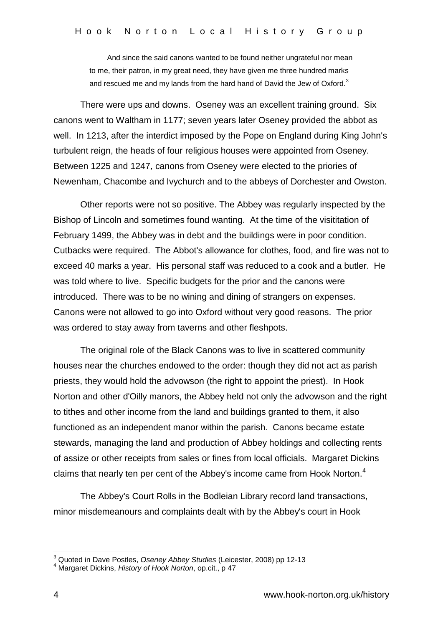And since the said canons wanted to be found neither ungrateful nor mean to me, their patron, in my great need, they have given me three hundred marks and rescued me and my lands from the hard hand of David the Jew of Oxford.<sup>3</sup>

There were ups and downs. Oseney was an excellent training ground. Six canons went to Waltham in 1177; seven years later Oseney provided the abbot as well. In 1213, after the interdict imposed by the Pope on England during King John's turbulent reign, the heads of four religious houses were appointed from Oseney. Between 1225 and 1247, canons from Oseney were elected to the priories of Newenham, Chacombe and Ivychurch and to the abbeys of Dorchester and Owston.

Other reports were not so positive. The Abbey was regularly inspected by the Bishop of Lincoln and sometimes found wanting. At the time of the visititation of February 1499, the Abbey was in debt and the buildings were in poor condition. Cutbacks were required. The Abbot's allowance for clothes, food, and fire was not to exceed 40 marks a year. His personal staff was reduced to a cook and a butler. He was told where to live. Specific budgets for the prior and the canons were introduced. There was to be no wining and dining of strangers on expenses. Canons were not allowed to go into Oxford without very good reasons. The prior was ordered to stay away from taverns and other fleshpots.

The original role of the Black Canons was to live in scattered community houses near the churches endowed to the order: though they did not act as parish priests, they would hold the advowson (the right to appoint the priest). In Hook Norton and other d'Oilly manors, the Abbey held not only the advowson and the right to tithes and other income from the land and buildings granted to them, it also functioned as an independent manor within the parish. Canons became estate stewards, managing the land and production of Abbey holdings and collecting rents of assize or other receipts from sales or fines from local officials. Margaret Dickins claims that nearly ten per cent of the Abbey's income came from Hook Norton. $4$ 

The Abbey's Court Rolls in the Bodleian Library record land transactions, minor misdemeanours and complaints dealt with by the Abbey's court in Hook

1

<sup>3</sup> Quoted in Dave Postles, *Oseney Abbey Studies* (Leicester, 2008) pp 12-13

<sup>4</sup> Margaret Dickins, *History of Hook Norton*, op.cit., p 47